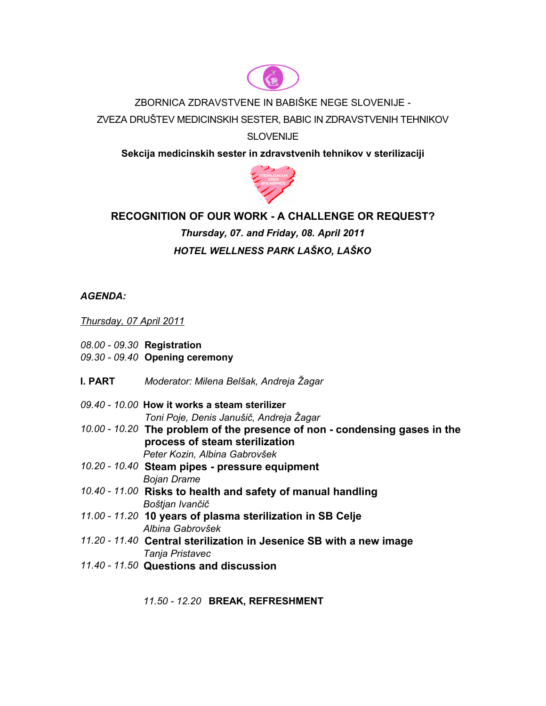

### ZBORNICA ZDRAVSTVENE IN BABIŠKE NEGE SLOVENIJE -

ZVEZA DRUŠTEV MEDICINSKIH SESTER, BABIC IN ZDRAVSTVENIH TEHNIKOV

## **SLOVENIJE**

**Sekcija medicinskih sester in zdravstvenih tehnikov v sterilizaciji**



# **RECOGNITION OF OUR WORK - A CHALLENGE OR REQUEST?**

# *Thursday, 07. and Friday, 08. April 2011 HOTEL WELLNESS PARK LAŠKO, LAŠKO*

# *AGENDA:*

#### *Thursday, 07 April 2011*

- *08.00 09.30* **Registration**
- *09.30 09.40* **Opening ceremony**
- **I. PART** *Moderator: Milena Belšak, Andreja Žagar*
- *09.40 10.00* **How it works a steam sterilizer** *Toni Poje, Denis Janušič, Andreja Žagar*
- *10.00 10.20* **The problem of the presence of non condensing gases in the process of steam sterilization** *Peter Kozin, Albina Gabrovšek*
- *10.20 10.40* **Steam pipes - pressure equipment** *Bojan Drame*
- *10.40 11.00* **Risks to health and safety of manual handling** *Boštjan Ivančič*
- *11.00 11.20* **10 years of plasma sterilization in SB Celje** *Albina Gabrovšek*
- *11.20 11.40* **Central sterilization in Jesenice SB with a new image** *Tanja Pristavec*
- *11.40 11.50* **Questions and discussion**
	- *11.50 12.20* **BREAK, REFRESHMENT**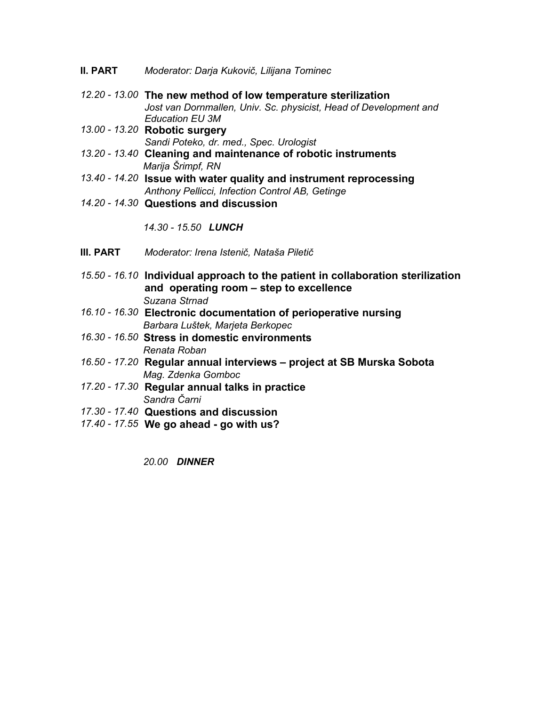- **II. PART** *Moderator: Darja Kukovič, Lilijana Tominec*
- *12.20 13.00* **The new method of low temperature sterilization** *Jost van Dornmallen, Univ. Sc. physicist, Head of Development and Education EU 3M*
- *13.00 13.20* **Robotic surgery** *Sandi Poteko, dr. med., Spec. Urologist*
- *13.20 13.40* **Cleaning and maintenance of robotic instruments** *Marija Šrimpf, RN*
- *13.40 14.20* **Issue with water quality and instrument reprocessing**  *Anthony Pellicci, Infection Control AB, Getinge*
- *14.20 14.30* **Questions and discussion**

*14.30 - 15.50 LUNCH*

- **III. PART** *Moderator: Irena Istenič, Nataša Piletič*
- *15.50 16.10* **Individual approach to the patient in collaboration sterilization and operating room – step to excellence** *Suzana Strnad*
- *16.10 16.30* **Electronic documentation of perioperative nursing** *Barbara Luštek, Marjeta Berkopec*
- *16.30 16.50* **Stress in domestic environments** *Renata Roban*
- *16.50 17.20* **Regular annual interviews project at SB Murska Sobota** *Mag. Zdenka Gomboc*
- *17.20 17.30* **Regular annual talks in practice** *Sandra Čarni*
- *17.30 17.40* **Questions and discussion**
- *17.40 17.55* **We go ahead - go with us?**

*20.00 DINNER*